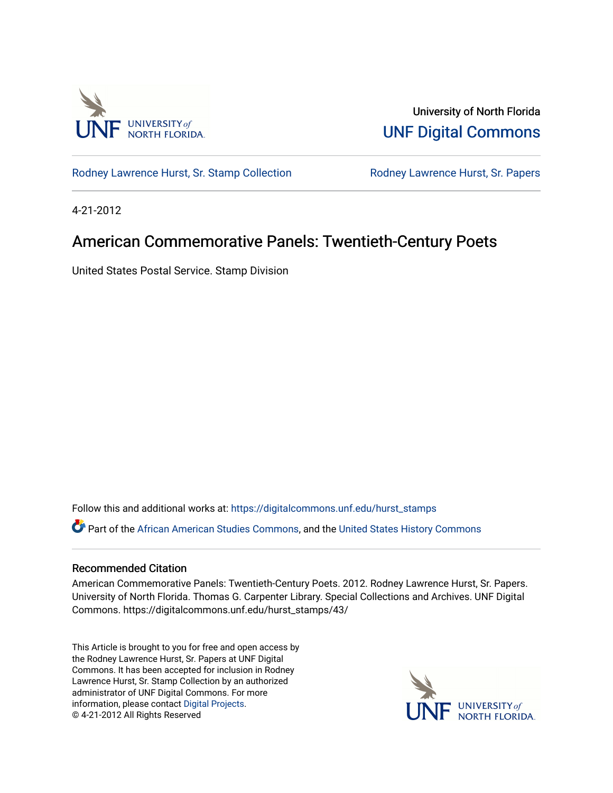

University of North Florida [UNF Digital Commons](https://digitalcommons.unf.edu/) 

[Rodney Lawrence Hurst, Sr. Stamp Collection](https://digitalcommons.unf.edu/hurst_stamps) **Rodney Lawrence Hurst, Sr. Papers** 

4-21-2012

## American Commemorative Panels: Twentieth-Century Poets

United States Postal Service. Stamp Division

Follow this and additional works at: [https://digitalcommons.unf.edu/hurst\\_stamps](https://digitalcommons.unf.edu/hurst_stamps?utm_source=digitalcommons.unf.edu%2Fhurst_stamps%2F43&utm_medium=PDF&utm_campaign=PDFCoverPages)

Part of the [African American Studies Commons,](http://network.bepress.com/hgg/discipline/567?utm_source=digitalcommons.unf.edu%2Fhurst_stamps%2F43&utm_medium=PDF&utm_campaign=PDFCoverPages) and the [United States History Commons](http://network.bepress.com/hgg/discipline/495?utm_source=digitalcommons.unf.edu%2Fhurst_stamps%2F43&utm_medium=PDF&utm_campaign=PDFCoverPages) 

## Recommended Citation

American Commemorative Panels: Twentieth-Century Poets. 2012. Rodney Lawrence Hurst, Sr. Papers. University of North Florida. Thomas G. Carpenter Library. Special Collections and Archives. UNF Digital Commons. https://digitalcommons.unf.edu/hurst\_stamps/43/

This Article is brought to you for free and open access by the Rodney Lawrence Hurst, Sr. Papers at UNF Digital Commons. It has been accepted for inclusion in Rodney Lawrence Hurst, Sr. Stamp Collection by an authorized administrator of UNF Digital Commons. For more information, please contact [Digital Projects](mailto:lib-digital@unf.edu). © 4-21-2012 All Rights Reserved